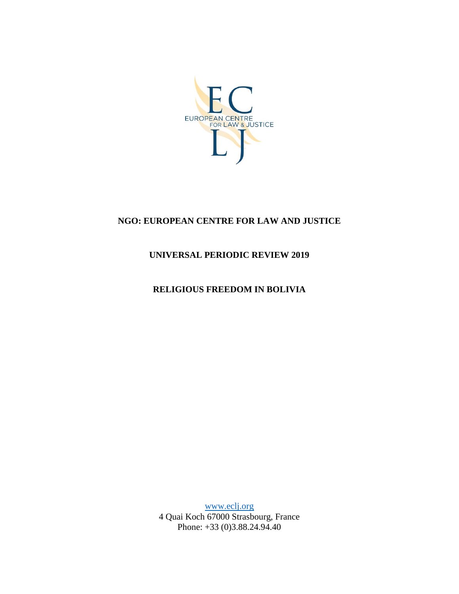

# **NGO: EUROPEAN CENTRE FOR LAW AND JUSTICE**

## **UNIVERSAL PERIODIC REVIEW 2019**

## **RELIGIOUS FREEDOM IN BOLIVIA**

[www.eclj.org](http://www.eclj.org/) 4 Quai Koch 67000 Strasbourg, France Phone: +33 (0)3.88.24.94.40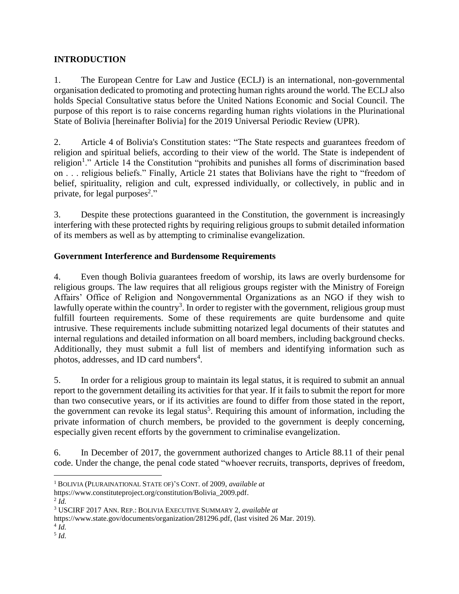### **INTRODUCTION**

1. The European Centre for Law and Justice (ECLJ) is an international, non-governmental organisation dedicated to promoting and protecting human rights around the world. The ECLJ also holds Special Consultative status before the United Nations Economic and Social Council. The purpose of this report is to raise concerns regarding human rights violations in the Plurinational State of Bolivia [hereinafter Bolivia] for the 2019 Universal Periodic Review (UPR).

2. Article 4 of Bolivia's Constitution states: "The State respects and guarantees freedom of religion and spiritual beliefs, according to their view of the world. The State is independent of religion<sup>1</sup>." Article 14 the Constitution "prohibits and punishes all forms of discrimination based on . . . religious beliefs." Finally, Article 21 states that Bolivians have the right to "freedom of belief, spirituality, religion and cult, expressed individually, or collectively, in public and in private, for legal purposes<sup>2</sup>."

3. Despite these protections guaranteed in the Constitution, the government is increasingly interfering with these protected rights by requiring religious groups to submit detailed information of its members as well as by attempting to criminalise evangelization.

#### **Government Interference and Burdensome Requirements**

4. Even though Bolivia guarantees freedom of worship, its laws are overly burdensome for religious groups. The law requires that all religious groups register with the Ministry of Foreign Affairs' Office of Religion and Nongovernmental Organizations as an NGO if they wish to lawfully operate within the country<sup>3</sup>. In order to register with the government, religious group must fulfill fourteen requirements. Some of these requirements are quite burdensome and quite intrusive. These requirements include submitting notarized legal documents of their statutes and internal regulations and detailed information on all board members, including background checks. Additionally, they must submit a full list of members and identifying information such as photos, addresses, and ID card numbers<sup>4</sup>.

5. In order for a religious group to maintain its legal status, it is required to submit an annual report to the government detailing its activities for that year. If it fails to submit the report for more than two consecutive years, or if its activities are found to differ from those stated in the report, the government can revoke its legal status<sup>5</sup>. Requiring this amount of information, including the private information of church members, be provided to the government is deeply concerning, especially given recent efforts by the government to criminalise evangelization.

6. In December of 2017, the government authorized changes to Article 88.11 of their penal code. Under the change, the penal code stated "whoever recruits, transports, deprives of freedom,

4 *Id.*

 $\overline{a}$ <sup>1</sup> BOLIVIA (PLURAINATIONAL STATE OF)'S CONT. of 2009, *available at*

https://www.constituteproject.org/constitution/Bolivia\_2009.pdf.

<sup>2</sup> *Id.*

<sup>3</sup> USCIRF 2017 ANN. REP.: BOLIVIA EXECUTIVE SUMMARY 2, *available at*

https://www.state.gov/documents/organization/281296.pdf, (last visited 26 Mar. 2019).

<sup>5</sup> *Id.*